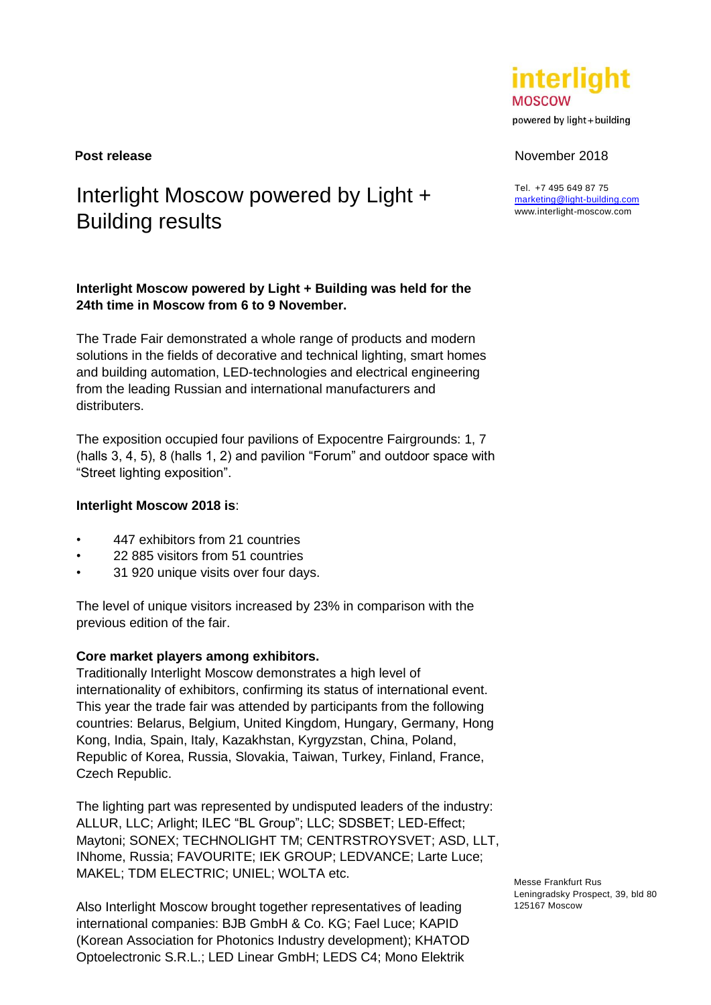# Interlight Moscow powered by Light + Building results

# **Interlight Moscow powered by Light + Building was held for the 24th time in Moscow from 6 to 9 November.**

The Trade Fair demonstrated a whole range of products and modern solutions in the fields of decorative and technical lighting, smart homes and building automation, LED-technologies and electrical engineering from the leading Russian and international manufacturers and distributers.

The exposition occupied four pavilions of Expocentre Fairgrounds: 1, 7 (halls 3, 4, 5), 8 (halls 1, 2) and pavilion "Forum" and outdoor space with "Street lighting exposition".

## **Interlight Moscow 2018 is**:

- 447 exhibitors from 21 countries
- 22 885 visitors from 51 countries
- 31 920 unique visits over four days.

The level of unique visitors increased by 23% in comparison with the previous edition of the fair.

## **Core market players among exhibitors.**

Traditionally Interlight Moscow demonstrates a high level of internationality of exhibitors, confirming its status of international event. This year the trade fair was attended by participants from the following countries: Belarus, Belgium, United Kingdom, Hungary, Germany, Hong Kong, India, Spain, Italy, Kazakhstan, Kyrgyzstan, China, Poland, Republic of Korea, Russia, Slovakia, Taiwan, Turkey, Finland, France, Czech Republic.

The lighting part was represented by undisputed leaders of the industry: ALLUR, LLC; Arlight; ILEC "BL Group"; LLC; SDSВЕТ; LED-Effect; Maytoni; SONEX; TECHNOLIGHT TM; CENTRSTROYSVET; ASD, LLT, INhome, Russia; FAVOURITE; IEK GROUP; LEDVANCE; Larte Luce; MAKEL; TDM ELECTRIC; UNIEL; WOLTA etc.

Also Interlight Moscow brought together representatives of leading international companies: BJB GmbH & Co. KG; Fael Luce; KAPID (Korean Association for Photonics Industry development); KHATOD Optoelectronic S.R.L.; LED Linear GmbH; LEDS C4; Mono Elektrik

Messe Frankfurt Rus Leningradsky Prospect, 39, bld 80 125167 Moscow



powered by light + building

#### **Post release** November 2018

Tel. +7 495 649 87 75 [marketing@light-building.com](mailto:marketing@light-building.com) www.interlight-moscow.com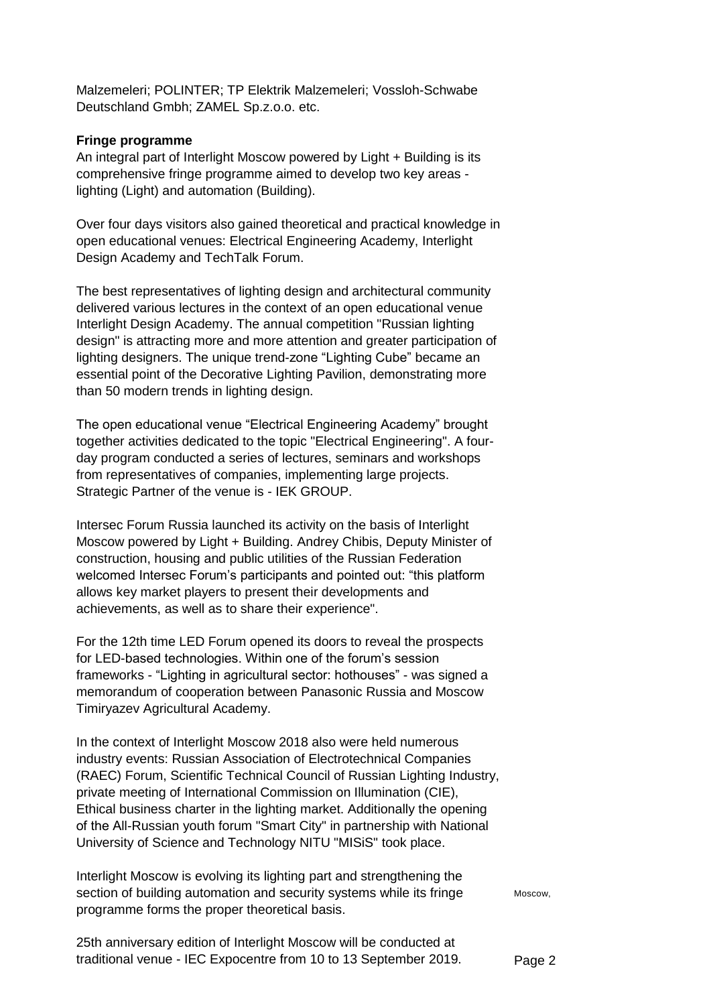Malzemeleri; POLINTER; TP Elektrik Malzemeleri; Vossloh-Schwabe Deutschland Gmbh; ZAMEL Sp.z.o.o. etc.

#### **Fringe programme**

An integral part of Interlight Moscow powered by Light + Building is its comprehensive fringe programme aimed to develop two key areas lighting (Light) and automation (Building).

Over four days visitors also gained theoretical and practical knowledge in open educational venues: Electrical Engineering Academy, Interlight Design Academy and TechTalk Forum.

The best representatives of lighting design and architectural community delivered various lectures in the context of an open educational venue Interlight Design Academy. The annual competition "Russian lighting design" is attracting more and more attention and greater participation of lighting designers. The unique trend-zone "Lighting Cube" became an essential point of the Decorative Lighting Pavilion, demonstrating more than 50 modern trends in lighting design.

The open educational venue "Electrical Engineering Academy" brought together activities dedicated to the topic "Electrical Engineering". A fourday program conducted a series of lectures, seminars and workshops from representatives of companies, implementing large projects. Strategic Partner of the venue is - IEK GROUP.

Intersec Forum Russia launched its activity on the basis of Interlight Moscow powered by Light + Building. Andrey Chibis, Deputy Minister of construction, housing and public utilities of the Russian Federation welcomed Intersec Forum's participants and pointed out: "this platform allows key market players to present their developments and achievements, as well as to share their experience".

For the 12th time LED Forum opened its doors to reveal the prospects for LED-based technologies. Within one of the forum's session frameworks - "Lighting in agricultural sector: hothouses" - was signed a memorandum of cooperation between Panasonic Russia and Moscow Timiryazev Agricultural Academy.

In the context of Interlight Moscow 2018 also were held numerous industry events: Russian Association of Electrotechnical Companies (RAEC) Forum, Scientific Technical Council of Russian Lighting Industry, private meeting of International Commission on Illumination (CIE), Ethical business charter in the lighting market. Additionally the opening of the Аll-Russian youth forum "Smart City" in partnership with National University of Science and Technology NITU "MISiS" took place.

Interlight Moscow is evolving its lighting part and strengthening the section of building automation and security systems while its fringe programme forms the proper theoretical basis.

Moscow,

Page 2 25th anniversary edition of Interlight Moscow will be conducted at traditional venue - IEC Expocentre from 10 to 13 September 2019.